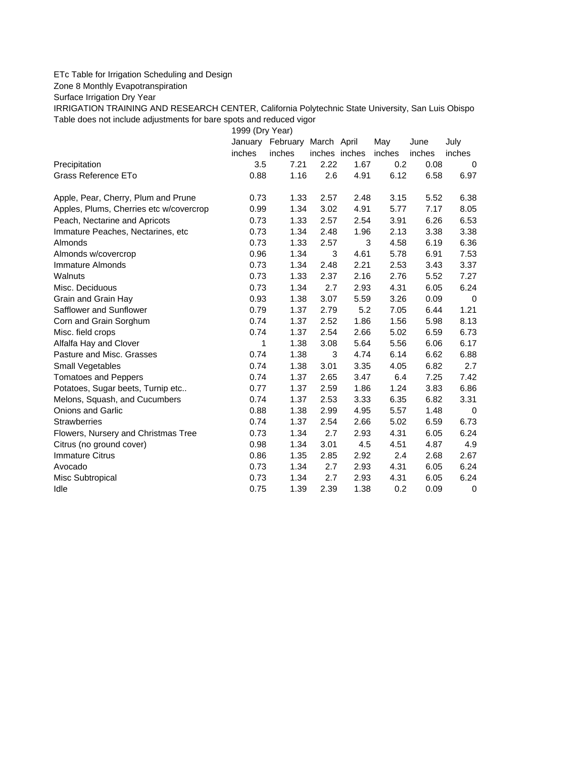## ETc Table for Irrigation Scheduling and Design

Zone 8 Monthly Evapotranspiration

Surface Irrigation Dry Year

IRRIGATION TRAINING AND RESEARCH CENTER, California Polytechnic State University, San Luis Obispo Table does not include adjustments for bare spots and reduced vigor

1999 (Dry Year)

|                                         | January | February March April |               |      | May    | June   | July     |
|-----------------------------------------|---------|----------------------|---------------|------|--------|--------|----------|
|                                         | inches  | inches               | inches inches |      | inches | inches | inches   |
| Precipitation                           | 3.5     | 7.21                 | 2.22          | 1.67 | 0.2    | 0.08   | 0        |
| Grass Reference ETo                     | 0.88    | 1.16                 | 2.6           | 4.91 | 6.12   | 6.58   | 6.97     |
| Apple, Pear, Cherry, Plum and Prune     | 0.73    | 1.33                 | 2.57          | 2.48 | 3.15   | 5.52   | 6.38     |
| Apples, Plums, Cherries etc w/covercrop | 0.99    | 1.34                 | 3.02          | 4.91 | 5.77   | 7.17   | 8.05     |
| Peach, Nectarine and Apricots           | 0.73    | 1.33                 | 2.57          | 2.54 | 3.91   | 6.26   | 6.53     |
| Immature Peaches, Nectarines, etc.      | 0.73    | 1.34                 | 2.48          | 1.96 | 2.13   | 3.38   | 3.38     |
| Almonds                                 | 0.73    | 1.33                 | 2.57          | 3    | 4.58   | 6.19   | 6.36     |
| Almonds w/covercrop                     | 0.96    | 1.34                 | 3             | 4.61 | 5.78   | 6.91   | 7.53     |
| Immature Almonds                        | 0.73    | 1.34                 | 2.48          | 2.21 | 2.53   | 3.43   | 3.37     |
| Walnuts                                 | 0.73    | 1.33                 | 2.37          | 2.16 | 2.76   | 5.52   | 7.27     |
| Misc. Deciduous                         | 0.73    | 1.34                 | 2.7           | 2.93 | 4.31   | 6.05   | 6.24     |
| Grain and Grain Hay                     | 0.93    | 1.38                 | 3.07          | 5.59 | 3.26   | 0.09   | 0        |
| Safflower and Sunflower                 | 0.79    | 1.37                 | 2.79          | 5.2  | 7.05   | 6.44   | 1.21     |
| Corn and Grain Sorghum                  | 0.74    | 1.37                 | 2.52          | 1.86 | 1.56   | 5.98   | 8.13     |
| Misc. field crops                       | 0.74    | 1.37                 | 2.54          | 2.66 | 5.02   | 6.59   | 6.73     |
| Alfalfa Hay and Clover                  | 1       | 1.38                 | 3.08          | 5.64 | 5.56   | 6.06   | 6.17     |
| Pasture and Misc. Grasses               | 0.74    | 1.38                 | 3             | 4.74 | 6.14   | 6.62   | 6.88     |
| Small Vegetables                        | 0.74    | 1.38                 | 3.01          | 3.35 | 4.05   | 6.82   | 2.7      |
| <b>Tomatoes and Peppers</b>             | 0.74    | 1.37                 | 2.65          | 3.47 | 6.4    | 7.25   | 7.42     |
| Potatoes, Sugar beets, Turnip etc       | 0.77    | 1.37                 | 2.59          | 1.86 | 1.24   | 3.83   | 6.86     |
| Melons, Squash, and Cucumbers           | 0.74    | 1.37                 | 2.53          | 3.33 | 6.35   | 6.82   | 3.31     |
| <b>Onions and Garlic</b>                | 0.88    | 1.38                 | 2.99          | 4.95 | 5.57   | 1.48   | $\Omega$ |
| <b>Strawberries</b>                     | 0.74    | 1.37                 | 2.54          | 2.66 | 5.02   | 6.59   | 6.73     |
| Flowers, Nursery and Christmas Tree     | 0.73    | 1.34                 | 2.7           | 2.93 | 4.31   | 6.05   | 6.24     |
| Citrus (no ground cover)                | 0.98    | 1.34                 | 3.01          | 4.5  | 4.51   | 4.87   | 4.9      |
| <b>Immature Citrus</b>                  | 0.86    | 1.35                 | 2.85          | 2.92 | 2.4    | 2.68   | 2.67     |
| Avocado                                 | 0.73    | 1.34                 | 2.7           | 2.93 | 4.31   | 6.05   | 6.24     |
| Misc Subtropical                        | 0.73    | 1.34                 | 2.7           | 2.93 | 4.31   | 6.05   | 6.24     |
| Idle                                    | 0.75    | 1.39                 | 2.39          | 1.38 | 0.2    | 0.09   | 0        |